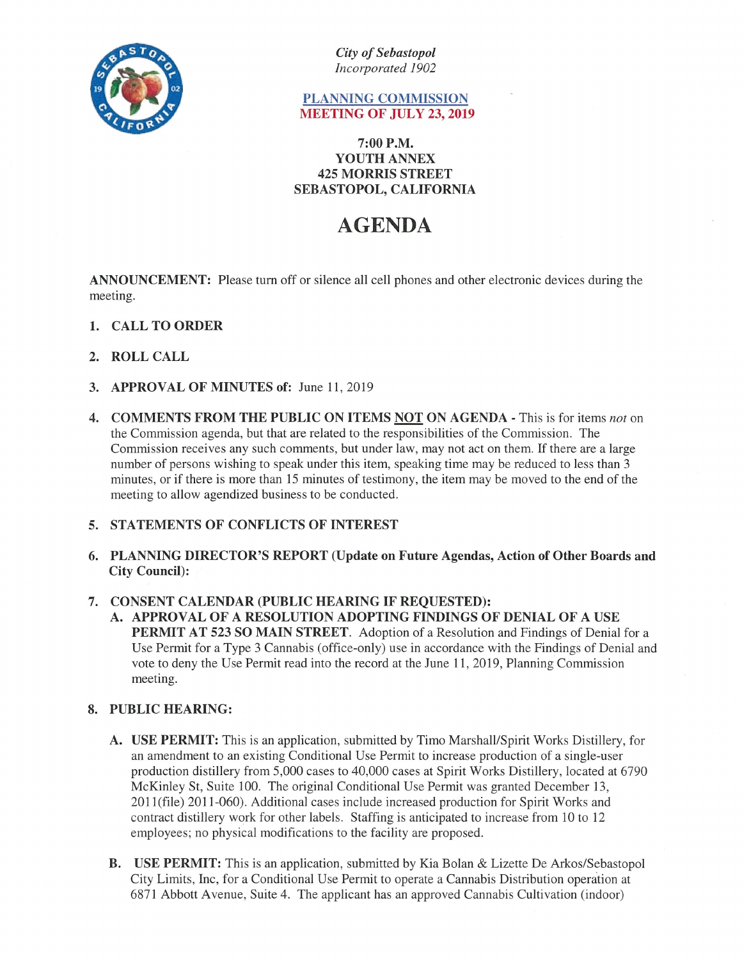

City of Sebastopol Incorporated 1902

## PLANNING COMMISSION MEETING OF JULY 23, 2019

### 7:00 P.M. YOUTH ANNEX 425 MORRIS STREET SEBASTOPOL, CALIFORNIA

# AGENDA

ANNOUNCEMENT: Please turn off or silence all cell phones and other electronic devices during the meeting.

- 1. CALL TO ORDER
- 2. ROLL CALL
- 3. APPROVAL OF MINUTES of: June 11, 2019
- 4. COMMENTS FROM THE PUBLIC ON ITEMS NOT ON AGENDA This is for items not on the Commission agenda, but that are related to the responsibilities of the Commission. The Commission receives any such comments, but under law, may not act on them. If there are <sup>a</sup> large number of persons wishing to speak under this item, speaking time may be reduced to less than 3 minutes, or if there is more than <sup>15</sup> minutes of testimony, the item may be moved to the end of the meeting to allow agendized business to be conducted.
- 5. STATEMENTS OF CONFLICTS OF INTEREST
- 6. PLANNING DIRECTOR'S REPORT (Update on Future Agendas, Action of Other Boards and City Council):

#### 7. CONSENT CALENDAR (PUBLIC HEARING IF REQUESTED):

A. APPROVAL OF A RESOLUTION ADOPTING FINDINGS OF DENIAL OF A USE PERMIT AT 523 SO MAIN STREET. Adoption of <sup>a</sup> Resolution and Findings of Denial for <sup>a</sup> Use Permit for a Type <sup>3</sup> Cannabis (office-only) use in accordance with the Findings of Denial and vote to deny the Use Permit read into the record at the June 11, 2019, Planning Commission meeting.

#### 8. PUBLIC HEARING:

- A. USE PERMIT: This is an application, submitted by Timo Marshall/Spirit Works Distillery, for an amendment to an existing Conditional Use Permit to increase production of a single-user production distillery from 5,000 cases to 40,000 cases at Spirit Works Distillery, located at 6790 McKinley St, Suite 100. The original Conditional Use Permit was granted December 13, 201 1(file) 2011-060). Additional cases include increased production for Spirit Works and contract distillery work for other labels. Staffing is anticipated to increase from 10 to 12 employees; no physical modifications to the facility are proposed.
- B. USE PERMIT: This is an application, submitted by Kia Bolan & Lizette De Arkos/Sebastopol City Limits, mc, for a Conditional Use Permit to operate a Cannabis Distribution operation at 6871 Abbott Avenue, Suite 4. The applicant has an approved Cannabis Cultivation (indoor)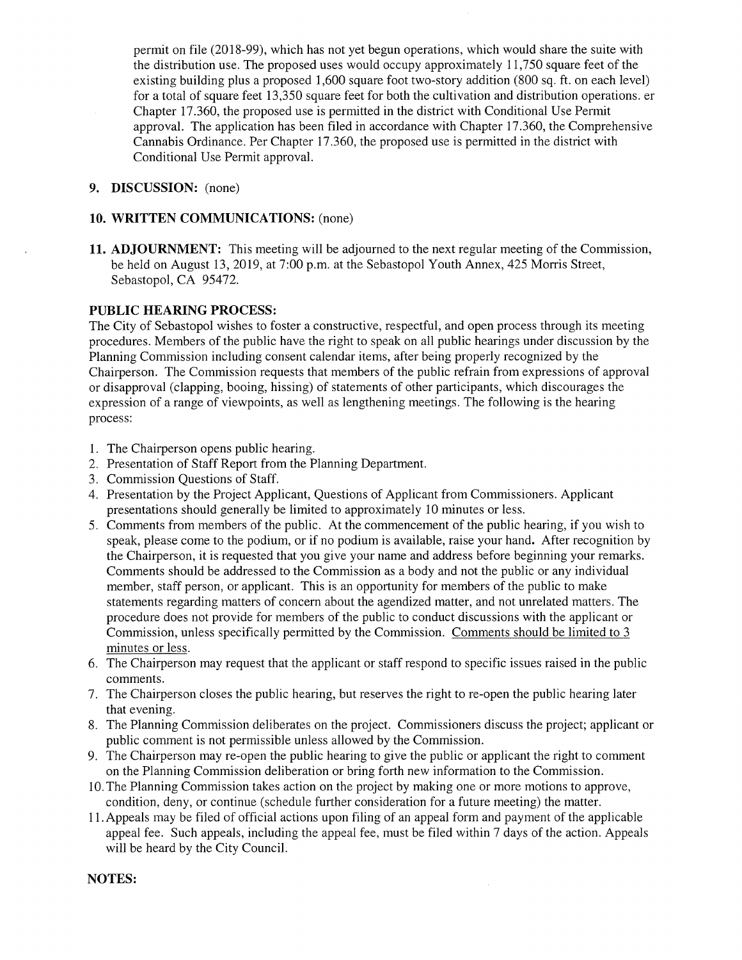permit on file (20 18-99), which has not yet begun operations, which would share the suite with the distribution use. The proposed uses would occupy approximately 11,750 square feet of the existing building plus <sup>a</sup> proposed 1,600 square foot two-story addition (800 sq. ft. on each level) for <sup>a</sup> total of square feet 13,350 square feet for both the cultivation and distribution operations. er Chapter 17.360, the proposed use is permitted in the district with Conditional Use Permit approval. The application has been filed in accordance with Chapter 17.360, the Comprehensive Cannabis Ordinance. Per Chapter 17.360, the proposed use is permitted in the district with Conditional Use Permit approval.

### 9. DISCUSSION: (none)

#### 10. WRITTEN COMMUNICATIONS: (none)

11. ADJOURNMENT: This meeting will be adjourned to the next regular meeting of the Commission, be held on August 13, 2019, at 7:00 p.m. at the Sebastopol Youth Annex, 425 Morris Street, Sebastopol, CA 95472.

#### PUBLIC HEARING PROCESS:

The City of Sebastopol wishes to foster <sup>a</sup> constructive, respectful, and open process through its meeting procedures. Members of the public have the right to speak on all public hearings under discussion by the Planning Commission including consent calendar items, after being properly recognized by the Chairperson. The Commission requests that members of the public refrain from expressions of approval or disapproval (clapping, booing, hissing) of statements of other participants, which discourages the expression of a range of viewpoints, as well as lengthening meetings. The following is the hearing process:

- 1. The Chairperson opens public hearing.
- 2. Presentation of Staff Report from the Planning Department.
- 3. Commission Questions of Staff.
- 4. Presentation by the Project Applicant, Questions of Applicant from Commissioners. Applicant presentations should generally be limited to approximately 10 minutes or less.
- 5. Comments from members of the public. At the commencement of the public hearing, if you wish to speak, please come to the podium, or if no podium is available, raise your hand. After recognition by the Chairperson, it is requested that you give your name and address before beginning your remarks. Comments should be addressed to the Commission as a body and not the public or any individual member, staff person, or applicant. This is an opportunity for members of the public to make statements regarding matters of concern about the agendized matter, and not unrelated matters. The procedure does not provide for members of the public to conduct discussions with the applicant or Commission, unless specifically permitted by the Commission. Comments should be limited to 3 minutes or less.
- 6. The Chairperson may request that the applicant or staff respond to specific issues raised in the public comments.
- 7. The Chairperson closes the public hearing, but reserves the right to re-open the public hearing later that evening.
- 8. The Planning Commission deliberates on the project. Commissioners discuss the project; applicant or public comment is not permissible unless allowed by the Commission.
- 9. The Chairperson may re-open the public hearing to give the public or applicant the right to comment on the Planning Commission deliberation or bring forth new information to the Commission.
- 10. The Planning Commission takes action on the project by making one or more motions to approve, condition, deny, or continue (schedule further consideration for a future meeting) the matter.
- 11. Appeals may be filed of official actions upon filing of an appeal form and payment of the applicable appeal fee. Such appeals, including the appeal fee, must be filed within 7 days of the action. Appeals will be heard by the City Council.

#### NOTES: